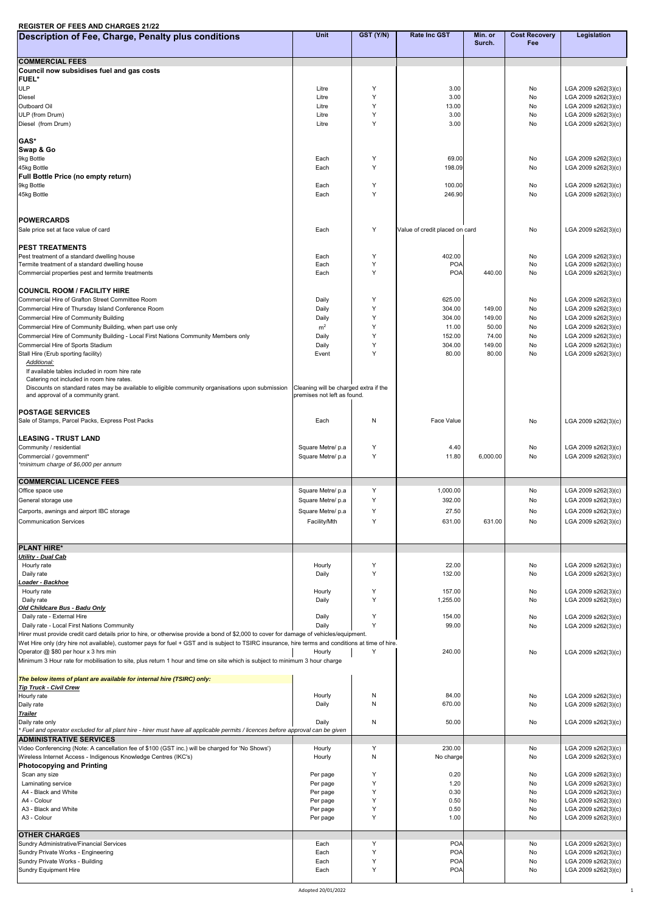## **REGISTER OF FEES AND CHARGES 21/22**

| Description of Fee, Charge, Penalty plus conditions                                                                                                                 | Unit                                  | GST (Y/N)    | <b>Rate Inc GST</b>            | Min. or<br>Surch. | <b>Cost Recovery</b><br><b>Fee</b> | Legislation                                |
|---------------------------------------------------------------------------------------------------------------------------------------------------------------------|---------------------------------------|--------------|--------------------------------|-------------------|------------------------------------|--------------------------------------------|
|                                                                                                                                                                     |                                       |              |                                |                   |                                    |                                            |
| <b>COMMERCIAL FEES</b><br>Council now subsidises fuel and gas costs                                                                                                 |                                       |              |                                |                   |                                    |                                            |
| <b>FUEL*</b>                                                                                                                                                        |                                       |              |                                |                   |                                    |                                            |
| <b>ULP</b>                                                                                                                                                          | Litre                                 | Y<br>Y       | 3.00                           |                   | No                                 | LGA 2009 s262(3)(c)                        |
| Diesel<br>Outboard Oil                                                                                                                                              | Litre<br>Litre                        | Y            | 3.00<br>13.00                  |                   | No<br>No                           | LGA 2009 s262(3)(c)<br>LGA 2009 s262(3)(c) |
| ULP (from Drum)                                                                                                                                                     | Litre                                 | Y            | 3.00                           |                   | No                                 | LGA 2009 s262(3)(c)                        |
| Diesel (from Drum)                                                                                                                                                  | Litre                                 | Y            | 3.00                           |                   | No                                 | LGA 2009 s262(3)(c)                        |
| GAS*                                                                                                                                                                |                                       |              |                                |                   |                                    |                                            |
| Swap & Go                                                                                                                                                           |                                       |              |                                |                   |                                    |                                            |
| 9kg Bottle<br>45kg Bottle                                                                                                                                           | Each<br>Each                          | Y<br>Y       | 69.00<br>198.09                |                   | No<br>No                           | LGA 2009 s262(3)(c)<br>LGA 2009 s262(3)(c) |
| Full Bottle Price (no empty return)                                                                                                                                 |                                       |              |                                |                   |                                    |                                            |
| 9kg Bottle                                                                                                                                                          | Each                                  | Y            | 100.00                         |                   | No                                 | LGA 2009 s262(3)(c)                        |
| 45kg Bottle                                                                                                                                                         | Each                                  | Y            | 246.90                         |                   | No                                 | LGA 2009 s262(3)(c)                        |
|                                                                                                                                                                     |                                       |              |                                |                   |                                    |                                            |
| <b>POWERCARDS</b>                                                                                                                                                   |                                       |              |                                |                   |                                    |                                            |
| Sale price set at face value of card                                                                                                                                | Each                                  | Y            | Value of credit placed on card |                   | No                                 | LGA 2009 s262(3)(c)                        |
| <b>PEST TREATMENTS</b>                                                                                                                                              |                                       |              |                                |                   |                                    |                                            |
| Pest treatment of a standard dwelling house                                                                                                                         | Each                                  | Y            | 402.00                         |                   | No                                 | LGA 2009 s262(3)(c)                        |
| Termite treatment of a standard dwelling house<br>Commercial properties pest and termite treatments                                                                 | Each<br>Each                          | Y<br>Y       | <b>POA</b><br><b>POA</b>       | 440.00            | No<br>No                           | LGA 2009 s262(3)(c)<br>LGA 2009 s262(3)(c) |
|                                                                                                                                                                     |                                       |              |                                |                   |                                    |                                            |
| <b>COUNCIL ROOM / FACILITY HIRE</b>                                                                                                                                 |                                       |              |                                |                   |                                    |                                            |
| Commercial Hire of Grafton Street Committee Room<br>Commercial Hire of Thursday Island Conference Room                                                              | Daily<br>Daily                        | Y<br>Y       | 625.00<br>304.00               | 149.00            | No<br>No                           | LGA 2009 s262(3)(c)<br>LGA 2009 s262(3)(c) |
| Commercial Hire of Community Building                                                                                                                               | Daily                                 | Y            | 304.00                         | 149.00            | No                                 | LGA 2009 s262(3)(c)                        |
| Commercial Hire of Community Building, when part use only                                                                                                           | m <sup>2</sup>                        | Y            | 11.00                          | 50.00             | No                                 | LGA 2009 s262(3)(c)                        |
| Commercial Hire of Community Building - Local First Nations Community Members only                                                                                  | Daily                                 | Y            | 152.00                         | 74.00             | No                                 | LGA 2009 s262(3)(c)                        |
| Commercial Hire of Sports Stadium<br>Stall Hire (Erub sporting facility)                                                                                            | Daily<br>Event                        | Y<br>Y       | 304.00<br>80.00                | 149.00<br>80.00   | No<br>No                           | LGA 2009 s262(3)(c)<br>LGA 2009 s262(3)(c) |
| Additional:                                                                                                                                                         |                                       |              |                                |                   |                                    |                                            |
| If available tables included in room hire rate<br>Catering not included in room hire rates.                                                                         |                                       |              |                                |                   |                                    |                                            |
| Discounts on standard rates may be available to eligible community organisations upon submission                                                                    | Cleaning will be charged extra if the |              |                                |                   |                                    |                                            |
| and approval of a community grant.                                                                                                                                  | premises not left as found.           |              |                                |                   |                                    |                                            |
| <b>POSTAGE SERVICES</b>                                                                                                                                             |                                       |              |                                |                   |                                    |                                            |
| Sale of Stamps, Parcel Packs, Express Post Packs                                                                                                                    | Each                                  | N            | Face Value                     |                   | No                                 | LGA 2009 s262(3)(c)                        |
|                                                                                                                                                                     |                                       |              |                                |                   |                                    |                                            |
| <b>LEASING - TRUST LAND</b><br>Community / residential                                                                                                              | Square Metre/ p.a                     | Y            | 4.40                           |                   | No                                 | LGA 2009 s262(3)(c)                        |
| Commercial / government*                                                                                                                                            | Square Metre/ p.a                     | Y            | 11.80                          | 6,000.00          | No                                 | LGA 2009 s262(3)(c)                        |
| *minimum charge of \$6,000 per annum                                                                                                                                |                                       |              |                                |                   |                                    |                                            |
| <b>COMMERCIAL LICENCE FEES</b>                                                                                                                                      |                                       |              |                                |                   |                                    |                                            |
| Office space use                                                                                                                                                    | Square Metre/ p.a                     | Y            | 1,000.00                       |                   | No                                 | LGA 2009 s262(3)(c)                        |
| General storage use                                                                                                                                                 | Square Metre/ p.a                     | Y            | 392.00                         |                   | No                                 | LGA 2009 s262(3)(c)                        |
| Carports, awnings and airport IBC storage<br><b>Communication Services</b>                                                                                          | Square Metre/ p.a<br>Facility/Mth     | Y<br>Y       | 27.50<br>631.00                | 631.00            | No<br>No                           | LGA 2009 s262(3)(c)<br>LGA 2009 s262(3)(c) |
|                                                                                                                                                                     |                                       |              |                                |                   |                                    |                                            |
|                                                                                                                                                                     |                                       |              |                                |                   |                                    |                                            |
| <b>PLANT HIRE*</b><br><b>Utility - Dual Cab</b>                                                                                                                     |                                       |              |                                |                   |                                    |                                            |
| Hourly rate                                                                                                                                                         | Hourly                                | Y            | 22.00                          |                   | No                                 | LGA 2009 s262(3)(c)                        |
| Daily rate                                                                                                                                                          | Daily                                 | Y            | 132.00                         |                   | No                                 | LGA 2009 s262(3)(c)                        |
| Loader - Backhoe<br>Hourly rate                                                                                                                                     | Hourly                                | Y            | 157.00                         |                   | No                                 | LGA 2009 s262(3)(c)                        |
| Daily rate                                                                                                                                                          | Daily                                 | Y            | 1,255.00                       |                   | No                                 | LGA 2009 s262(3)(c)                        |
| Old Childcare Bus - Badu Only                                                                                                                                       |                                       | Y            |                                |                   |                                    |                                            |
| Daily rate - External Hire<br>Daily rate - Local First Nations Community                                                                                            | Daily<br>Daily                        | Y            | 154.00<br>99.00                |                   | No<br>No                           | LGA 2009 s262(3)(c)<br>LGA 2009 s262(3)(c) |
| Hirer must provide credit card details prior to hire, or otherwise provide a bond of \$2,000 to cover for damage of vehicles/equipment.                             |                                       |              |                                |                   |                                    |                                            |
| Wet Hire only (dry hire not available), customer pays for fuel + GST and is subject to TSIRC insurance, hire terms and conditions at time of hire.                  |                                       |              |                                |                   |                                    |                                            |
| Operator @ \$80 per hour x 3 hrs min<br>Minimum 3 Hour rate for mobilisation to site, plus return 1 hour and time on site which is subject to minimum 3 hour charge | Hourly                                | Y            | 240.00                         |                   | No                                 | LGA 2009 s262(3)(c)                        |
|                                                                                                                                                                     |                                       |              |                                |                   |                                    |                                            |
| The below items of plant are available for internal hire (TSIRC) only:                                                                                              |                                       |              |                                |                   |                                    |                                            |
| <b>Tip Truck - Civil Crew</b><br>Hourly rate                                                                                                                        | Hourly                                | N            | 84.00                          |                   | No                                 | LGA 2009 s262(3)(c)                        |
| Daily rate                                                                                                                                                          | Daily                                 | N            | 670.00                         |                   | No                                 | LGA 2009 s262(3)(c)                        |
| <b>Trailer</b>                                                                                                                                                      |                                       |              |                                |                   |                                    |                                            |
| Daily rate only<br>* Fuel and operator excluded for all plant hire - hirer must have all applicable permits / licences before approval can be given                 | Daily                                 | N            | 50.00                          |                   | No                                 | LGA 2009 s262(3)(c)                        |
| <b>ADMINISTRATIVE SERVICES</b>                                                                                                                                      |                                       |              |                                |                   |                                    |                                            |
| Video Conferencing (Note: A cancellation fee of \$100 (GST inc.) will be charged for 'No Shows')                                                                    | Hourly                                | Y            | 230.00                         |                   | No                                 | LGA 2009 s262(3)(c)                        |
| Wireless Internet Access - Indigenous Knowledge Centres (IKC's)<br><b>Photocopying and Printing</b>                                                                 | Hourly                                | $\mathsf{N}$ | No charge                      |                   | No                                 | LGA 2009 s262(3)(c)                        |
| Scan any size                                                                                                                                                       | Per page                              | Y            | 0.20                           |                   | No                                 | LGA 2009 s262(3)(c)                        |
| Laminating service<br>A4 - Black and White                                                                                                                          | Per page                              | Y<br>Υ       | 1.20<br>0.30                   |                   | No<br>No                           | LGA 2009 s262(3)(c)<br>LGA 2009 s262(3)(c) |
| A4 - Colour                                                                                                                                                         | Per page<br>Per page                  | Y            | 0.50                           |                   | No                                 | LGA 2009 s262(3)(c)                        |
| A3 - Black and White                                                                                                                                                | Per page                              | Y            | 0.50                           |                   | No                                 | LGA 2009 s262(3)(c)                        |
| A3 - Colour                                                                                                                                                         | Per page                              | Y            | 1.00                           |                   | No                                 | LGA 2009 s262(3)(c)                        |
| <b>OTHER CHARGES</b>                                                                                                                                                |                                       |              |                                |                   |                                    |                                            |
| Sundry Administrative/Financial Services                                                                                                                            | Each                                  | Y            | <b>POA</b>                     |                   | No                                 | LGA 2009 s262(3)(c)                        |
| Sundry Private Works - Engineering<br>Sundry Private Works - Building                                                                                               | Each<br>Each                          | Y<br>Y       | <b>POA</b><br><b>POA</b>       |                   | No<br>No                           | LGA 2009 s262(3)(c)<br>LGA 2009 s262(3)(c) |
| Sundry Equipment Hire                                                                                                                                               | Each                                  | Y            | <b>POA</b>                     |                   | No                                 | LGA 2009 s262(3)(c)                        |
|                                                                                                                                                                     |                                       |              |                                |                   |                                    |                                            |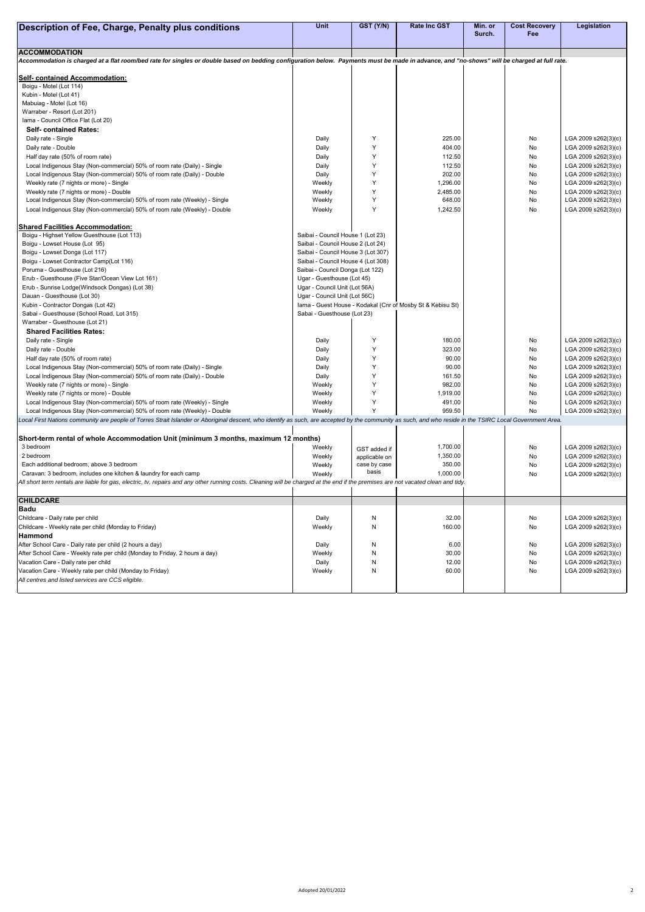| <b>Description of Fee, Charge, Penalty plus conditions</b>                                                                                                                                                                                                                             | Unit                               | GST (Y/N)     | <b>Rate Inc GST</b>                                        | Min. or | <b>Cost Recovery</b> | Legislation         |
|----------------------------------------------------------------------------------------------------------------------------------------------------------------------------------------------------------------------------------------------------------------------------------------|------------------------------------|---------------|------------------------------------------------------------|---------|----------------------|---------------------|
|                                                                                                                                                                                                                                                                                        |                                    |               |                                                            | Surch.  | Fee                  |                     |
| <b>ACCOMMODATION</b>                                                                                                                                                                                                                                                                   |                                    |               |                                                            |         |                      |                     |
| Accommodation is charged at a flat room/bed rate for singles or double based on bedding configuration below. Payments must be made in advance, and "no-shows" will be charged at full rate.                                                                                            |                                    |               |                                                            |         |                      |                     |
| <b>Self- contained Accommodation:</b>                                                                                                                                                                                                                                                  |                                    |               |                                                            |         |                      |                     |
| Boigu - Motel (Lot 114)                                                                                                                                                                                                                                                                |                                    |               |                                                            |         |                      |                     |
| Kubin - Motel (Lot 41)                                                                                                                                                                                                                                                                 |                                    |               |                                                            |         |                      |                     |
| Mabuiag - Motel (Lot 16)                                                                                                                                                                                                                                                               |                                    |               |                                                            |         |                      |                     |
| Warraber - Resort (Lot 201)                                                                                                                                                                                                                                                            |                                    |               |                                                            |         |                      |                     |
| Iama - Council Office Flat (Lot 20)                                                                                                                                                                                                                                                    |                                    |               |                                                            |         |                      |                     |
| <b>Self- contained Rates:</b>                                                                                                                                                                                                                                                          |                                    |               |                                                            |         |                      |                     |
| Daily rate - Single                                                                                                                                                                                                                                                                    | Daily                              | Υ             | 225.00                                                     |         | No                   | LGA 2009 s262(3)(c) |
| Daily rate - Double                                                                                                                                                                                                                                                                    | Daily                              | Y             | 404.00                                                     |         | No                   | LGA 2009 s262(3)(c) |
| Half day rate (50% of room rate)                                                                                                                                                                                                                                                       | Daily                              | Y             | 112.50                                                     |         | No                   | LGA 2009 s262(3)(c) |
| Local Indigenous Stay (Non-commercial) 50% of room rate (Daily) - Single                                                                                                                                                                                                               | Daily                              | Y             | 112.50                                                     |         | No                   | LGA 2009 s262(3)(c) |
| Local Indigenous Stay (Non-commercial) 50% of room rate (Daily) - Double                                                                                                                                                                                                               | Daily                              | Y             | 202.00                                                     |         | No                   | LGA 2009 s262(3)(c) |
| Weekly rate (7 nights or more) - Single                                                                                                                                                                                                                                                | Weekly                             | Y             | 1,296.00                                                   |         | No                   | LGA 2009 s262(3)(c) |
| Weekly rate (7 nights or more) - Double                                                                                                                                                                                                                                                | Weekly                             | Y             | 2,485.00                                                   |         | No                   | LGA 2009 s262(3)(c) |
| Local Indigenous Stay (Non-commercial) 50% of room rate (Weekly) - Single                                                                                                                                                                                                              | Weekly                             | Y             | 648.00                                                     |         | No                   | LGA 2009 s262(3)(c) |
| Local Indigenous Stay (Non-commercial) 50% of room rate (Weekly) - Double                                                                                                                                                                                                              | Weekly                             | Y             | 1,242.50                                                   |         | No                   | LGA 2009 s262(3)(c) |
|                                                                                                                                                                                                                                                                                        |                                    |               |                                                            |         |                      |                     |
| <b>Shared Facilities Accommodation:</b>                                                                                                                                                                                                                                                |                                    |               |                                                            |         |                      |                     |
| Boigu - Highset Yellow Guesthouse (Lot 113)                                                                                                                                                                                                                                            | Saibai - Council House 1 (Lot 23)  |               |                                                            |         |                      |                     |
| Boigu - Lowset House (Lot 95)                                                                                                                                                                                                                                                          | Saibai - Council House 2 (Lot 24)  |               |                                                            |         |                      |                     |
| Boigu - Lowset Donga (Lot 117)                                                                                                                                                                                                                                                         | Saibai - Council House 3 (Lot 307) |               |                                                            |         |                      |                     |
| Boigu - Lowset Contractor Camp(Lot 116)                                                                                                                                                                                                                                                | Saibai - Council House 4 (Lot 308) |               |                                                            |         |                      |                     |
| Poruma - Guesthouse (Lot 216)                                                                                                                                                                                                                                                          | Saibai - Council Donga (Lot 122)   |               |                                                            |         |                      |                     |
| Erub - Guesthouse (Five Star/Ocean View Lot 161)                                                                                                                                                                                                                                       | Ugar - Guesthouse (Lot 45)         |               |                                                            |         |                      |                     |
| Erub - Sunrise Lodge(Windsock Dongas) (Lot 38)                                                                                                                                                                                                                                         | Ugar - Council Unit (Lot 56A)      |               |                                                            |         |                      |                     |
| Dauan - Guesthouse (Lot 30)                                                                                                                                                                                                                                                            | Ugar - Council Unit (Lot 56C)      |               |                                                            |         |                      |                     |
| Kubin - Contractor Dongas (Lot 42)                                                                                                                                                                                                                                                     |                                    |               | Iama - Guest House - Kodakal (Cnr of Mosby St & Kebisu St) |         |                      |                     |
| Sabai - Guesthouse (School Road, Lot 315)                                                                                                                                                                                                                                              | Sabai - Guesthouse (Lot 23)        |               |                                                            |         |                      |                     |
| Warraber - Guesthouse (Lot 21)                                                                                                                                                                                                                                                         |                                    |               |                                                            |         |                      |                     |
| <b>Shared Facilities Rates:</b>                                                                                                                                                                                                                                                        |                                    |               |                                                            |         |                      |                     |
| Daily rate - Single                                                                                                                                                                                                                                                                    | Daily                              | Y             | 180.00                                                     |         | No                   | LGA 2009 s262(3)(c) |
| Daily rate - Double                                                                                                                                                                                                                                                                    | Daily                              | Y             | 323.00                                                     |         | No                   | LGA 2009 s262(3)(c) |
| Half day rate (50% of room rate)                                                                                                                                                                                                                                                       | Daily                              | Y             | 90.00                                                      |         | No                   | LGA 2009 s262(3)(c) |
| Local Indigenous Stay (Non-commercial) 50% of room rate (Daily) - Single                                                                                                                                                                                                               | Daily                              |               | 90.00                                                      |         | No                   | LGA 2009 s262(3)(c) |
| Local Indigenous Stay (Non-commercial) 50% of room rate (Daily) - Double                                                                                                                                                                                                               | Daily                              |               | 161.50                                                     |         | No                   | LGA 2009 s262(3)(c) |
| Weekly rate (7 nights or more) - Single                                                                                                                                                                                                                                                | Weekly                             | Υ             | 982.00                                                     |         | No                   | LGA 2009 s262(3)(c) |
| Weekly rate (7 nights or more) - Double                                                                                                                                                                                                                                                | Weekly                             | Y             | 1,919.00                                                   |         | No                   | LGA 2009 s262(3)(c) |
| Local Indigenous Stay (Non-commercial) 50% of room rate (Weekly) - Single                                                                                                                                                                                                              | Weekly                             | Y<br>Y        | 491.00                                                     |         | No                   | LGA 2009 s262(3)(c) |
| Local Indigenous Stay (Non-commercial) 50% of room rate (Weekly) - Double<br>Local First Nations community are people of Torres Strait Islander or Aboriginal descent, who identify as such, are accepted by the community as such, and who reside in the TSIRC Local Government Area. | Weekly                             |               | 959.50                                                     |         | No                   | LGA 2009 s262(3)(c) |
|                                                                                                                                                                                                                                                                                        |                                    |               |                                                            |         |                      |                     |
| Short-term rental of whole Accommodation Unit (minimum 3 months, maximum 12 months)                                                                                                                                                                                                    |                                    |               |                                                            |         |                      |                     |
| 3 bedroom                                                                                                                                                                                                                                                                              | Weekly                             | GST added if  | 1,700.00                                                   |         | No                   | LGA 2009 s262(3)(c) |
| 2 bedroom                                                                                                                                                                                                                                                                              | Weekly                             | applicable on | 1,350.00                                                   |         | No                   | LGA 2009 s262(3)(c) |
| Each additional bedroom, above 3 bedroom                                                                                                                                                                                                                                               | Weekly                             | case by case  | 350.00                                                     |         | No                   | LGA 2009 s262(3)(c) |
| Caravan: 3 bedroom, includes one kitchen & laundry for each camp                                                                                                                                                                                                                       | Weekly                             | basis         | 1,000.00                                                   |         | No                   | LGA 2009 s262(3)(c) |
| All short term rentals are liable for gas, electric, tv, repairs and any other running costs. Cleaning will be charged at the end if the premises are not vacated clean and tidy.                                                                                                      |                                    |               |                                                            |         |                      |                     |
| <b>CHILDCARE</b>                                                                                                                                                                                                                                                                       |                                    |               |                                                            |         |                      |                     |
| <b>Badu</b>                                                                                                                                                                                                                                                                            |                                    |               |                                                            |         |                      |                     |
| Childcare - Daily rate per child                                                                                                                                                                                                                                                       | Daily                              | N             | 32.00                                                      |         | No                   | LGA 2009 s262(3)(c) |
| Childcare - Weekly rate per child (Monday to Friday)                                                                                                                                                                                                                                   | Weekly                             | N             | 160.00                                                     |         | No                   | LGA 2009 s262(3)(c) |
| Hammond                                                                                                                                                                                                                                                                                |                                    |               |                                                            |         |                      |                     |
| After School Care - Daily rate per child (2 hours a day)                                                                                                                                                                                                                               | Daily                              | N             | 6.00                                                       |         | No                   | LGA 2009 s262(3)(c) |
| After School Care - Weekly rate per child (Monday to Friday, 2 hours a day)                                                                                                                                                                                                            | Weekly                             | N             | 30.00                                                      |         | No                   | LGA 2009 s262(3)(c) |
| Vacation Care - Daily rate per child                                                                                                                                                                                                                                                   | Daily                              | N             | 12.00                                                      |         | No                   | LGA 2009 s262(3)(c) |
| Vacation Care - Weekly rate per child (Monday to Friday)                                                                                                                                                                                                                               | Weekly                             | N             | 60.00                                                      |         | No                   | LGA 2009 s262(3)(c) |
| All centres and listed services are CCS eligible.                                                                                                                                                                                                                                      |                                    |               |                                                            |         |                      |                     |
|                                                                                                                                                                                                                                                                                        |                                    |               |                                                            |         |                      |                     |
|                                                                                                                                                                                                                                                                                        |                                    |               |                                                            |         |                      |                     |

Adopted 20/01/2022 2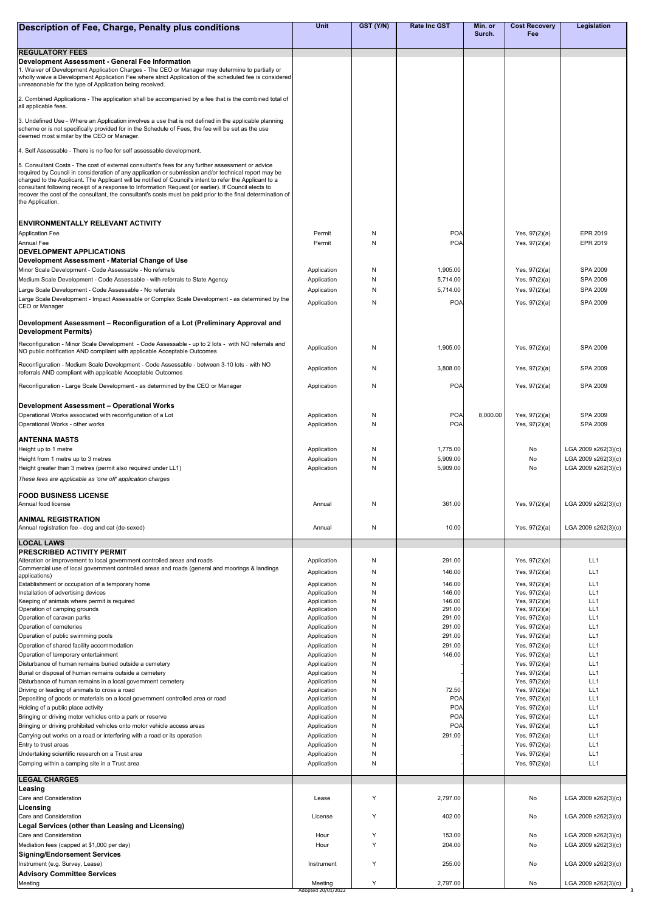| Description of Fee, Charge, Penalty plus conditions                                                                                                                                                                                                                                                                                                                                                                                                         | <b>Unit</b>                | GST (Y/N) | <b>Rate Inc GST</b>      | Min. or<br>Surch. | <b>Cost Recovery</b><br>Fee        | Legislation                        |
|-------------------------------------------------------------------------------------------------------------------------------------------------------------------------------------------------------------------------------------------------------------------------------------------------------------------------------------------------------------------------------------------------------------------------------------------------------------|----------------------------|-----------|--------------------------|-------------------|------------------------------------|------------------------------------|
|                                                                                                                                                                                                                                                                                                                                                                                                                                                             |                            |           |                          |                   |                                    |                                    |
| <b>REGULATORY FEES</b><br>Development Assessment - General Fee Information<br>1. Waiver of Development Application Charges - The CEO or Manager may determine to partially or<br>wholly waive a Development Application Fee where strict Application of the scheduled fee is considered<br>unreasonable for the type of Application being received.                                                                                                         |                            |           |                          |                   |                                    |                                    |
| 2. Combined Applications - The application shall be accompanied by a fee that is the combined total of<br>all applicable fees.                                                                                                                                                                                                                                                                                                                              |                            |           |                          |                   |                                    |                                    |
| 3. Undefined Use - Where an Application involves a use that is not defined in the applicable planning<br>scheme or is not specifically provided for in the Schedule of Fees, the fee will be set as the use<br>deemed most similar by the CEO or Manager.                                                                                                                                                                                                   |                            |           |                          |                   |                                    |                                    |
| 4. Self Assessable - There is no fee for self assessable development.                                                                                                                                                                                                                                                                                                                                                                                       |                            |           |                          |                   |                                    |                                    |
| 5. Consultant Costs - The cost of external consultant's fees for any further assessment or advice                                                                                                                                                                                                                                                                                                                                                           |                            |           |                          |                   |                                    |                                    |
| required by Council in consideration of any application or submission and/or technical report may be<br>charged to the Applicant. The Applicant will be notified of Council's intent to refer the Applicant to a<br>consultant following receipt of a response to Information Request (or earlier). If Council elects to<br>recover the cost of the consultant, the consultant's costs must be paid prior to the final determination of<br>the Application. |                            |           |                          |                   |                                    |                                    |
| <b>IENVIRONMENTALLY RELEVANT ACTIVITY</b><br><b>Application Fee</b>                                                                                                                                                                                                                                                                                                                                                                                         | Permit                     | N         | <b>POA</b>               |                   | Yes, $97(2)(a)$                    | EPR 2019                           |
| <b>Annual Fee</b><br><b>IDEVELOPMENT APPLICATIONS</b>                                                                                                                                                                                                                                                                                                                                                                                                       | Permit                     | N         | <b>POA</b>               |                   | Yes, $97(2)(a)$                    | EPR 2019                           |
| Development Assessment - Material Change of Use                                                                                                                                                                                                                                                                                                                                                                                                             |                            |           |                          |                   |                                    |                                    |
| Minor Scale Development - Code Assessable - No referrals                                                                                                                                                                                                                                                                                                                                                                                                    | Application                | N         | 1,905.00                 |                   | Yes, 97(2)(a)                      | SPA 2009                           |
| Medium Scale Development - Code Assessable - with referrals to State Agency                                                                                                                                                                                                                                                                                                                                                                                 | Application                | N         | 5,714.00                 |                   | Yes, 97(2)(a)                      | <b>SPA 2009</b>                    |
| Large Scale Development - Code Assessable - No referrals<br>Large Scale Development - Impact Assessable or Complex Scale Development - as determined by the                                                                                                                                                                                                                                                                                                 | Application                | N         | 5,714.00                 |                   | Yes, $97(2)(a)$                    | SPA 2009                           |
| CEO or Manager                                                                                                                                                                                                                                                                                                                                                                                                                                              | Application                | N         | POA                      |                   | Yes, $97(2)(a)$                    | <b>SPA 2009</b>                    |
| Development Assessment - Reconfiguration of a Lot (Preliminary Approval and<br><b>Development Permits)</b>                                                                                                                                                                                                                                                                                                                                                  |                            |           |                          |                   |                                    |                                    |
| Reconfiguration - Minor Scale Development - Code Assessable - up to 2 lots - with NO referrals and<br>NO public notification AND compliant with applicable Acceptable Outcomes                                                                                                                                                                                                                                                                              | Application                | N         | 1,905.00                 |                   | Yes, 97(2)(a)                      | SPA 2009                           |
| Reconfiguration - Medium Scale Development - Code Assessable - between 3-10 lots - with NO<br>referrals AND compliant with applicable Acceptable Outcomes                                                                                                                                                                                                                                                                                                   | Application                | N         | 3,808.00                 |                   | Yes, 97(2)(a)                      | SPA 2009                           |
| Reconfiguration - Large Scale Development - as determined by the CEO or Manager                                                                                                                                                                                                                                                                                                                                                                             | Application                | N         | POA                      |                   | Yes, $97(2)(a)$                    | <b>SPA 2009</b>                    |
| Development Assessment - Operational Works<br>Operational Works associated with reconfiguration of a Lot                                                                                                                                                                                                                                                                                                                                                    | Application                | N         | POA                      | 8,000.00          | Yes, $97(2)(a)$                    | <b>SPA 2009</b>                    |
| Operational Works - other works                                                                                                                                                                                                                                                                                                                                                                                                                             | Application                | N         | <b>POA</b>               |                   | Yes, 97(2)(a)                      | SPA 2009                           |
| <b>ANTENNA MASTS</b>                                                                                                                                                                                                                                                                                                                                                                                                                                        |                            |           |                          |                   |                                    |                                    |
| Height up to 1 metre                                                                                                                                                                                                                                                                                                                                                                                                                                        | Application                | N         | 1,775.00                 |                   | No                                 | LGA 2009 s262(3)(c)                |
| Height from 1 metre up to 3 metres                                                                                                                                                                                                                                                                                                                                                                                                                          | Application                | N<br>N    | 5,909.00<br>5,909.00     |                   | No<br>No                           | LGA 2009 s262(3)(c)                |
| Height greater than 3 metres (permit also required under LL1)<br>These fees are applicable as 'one off' application charges                                                                                                                                                                                                                                                                                                                                 | Application                |           |                          |                   |                                    | LGA 2009 s262(3)(c)                |
| <b>FOOD BUSINESS LICENSE</b><br>Annual food license                                                                                                                                                                                                                                                                                                                                                                                                         | Annual                     | N         | 361.00                   |                   | Yes, $97(2)(a)$                    | LGA 2009 s262(3)(c)                |
| <b>ANIMAL REGISTRATION</b><br>Annual registration fee - dog and cat (de-sexed)                                                                                                                                                                                                                                                                                                                                                                              | Annual                     | N         | 10.00                    |                   | Yes, 97(2)(a)                      | LGA 2009 s262(3)(c)                |
| <b>LOCAL LAWS</b>                                                                                                                                                                                                                                                                                                                                                                                                                                           |                            |           |                          |                   |                                    |                                    |
| <b>PRESCRIBED ACTIVITY PERMIT</b>                                                                                                                                                                                                                                                                                                                                                                                                                           |                            |           |                          |                   |                                    |                                    |
| Alteration or improvement to local government controlled areas and roads                                                                                                                                                                                                                                                                                                                                                                                    | Application                | N         | 291.00                   |                   | Yes, $97(2)(a)$                    | LL1                                |
| Commercial use of local government controlled areas and roads (general and moorings & landings<br>applications)                                                                                                                                                                                                                                                                                                                                             | Application                | N         | 146.00                   |                   | Yes, 97(2)(a)                      | LL1                                |
| Establishment or occupation of a temporary home                                                                                                                                                                                                                                                                                                                                                                                                             | Application                | N         | 146.00                   |                   | Yes, $97(2)(a)$                    | LL <sub>1</sub>                    |
| Installation of advertising devices<br>Keeping of animals where permit is required                                                                                                                                                                                                                                                                                                                                                                          | Application<br>Application | N<br>N    | 146.00<br>146.00         |                   | Yes, 97(2)(a)<br>Yes, 97(2)(a)     | LL <sub>1</sub><br>LL <sub>1</sub> |
| Operation of camping grounds                                                                                                                                                                                                                                                                                                                                                                                                                                | Application                | N         | 291.00                   |                   | Yes, $97(2)(a)$                    | LL1                                |
| Operation of caravan parks                                                                                                                                                                                                                                                                                                                                                                                                                                  | Application                | N         | 291.00                   |                   | Yes, $97(2)(a)$                    | LL1                                |
| Operation of cemeteries<br>Operation of public swimming pools                                                                                                                                                                                                                                                                                                                                                                                               | Application<br>Application | N<br>N    | 291.00<br>291.00         |                   | Yes, $97(2)(a)$<br>Yes, $97(2)(a)$ | LL <sub>1</sub><br>LL1             |
| Operation of shared facility accommodation                                                                                                                                                                                                                                                                                                                                                                                                                  | Application                | N         | 291.00                   |                   | Yes, 97(2)(a)                      | LL <sub>1</sub>                    |
| Operation of temporary entertainment                                                                                                                                                                                                                                                                                                                                                                                                                        | Application                | N         | 146.00                   |                   | Yes, $97(2)(a)$                    | LL <sub>1</sub>                    |
| Disturbance of human remains buried outside a cemetery                                                                                                                                                                                                                                                                                                                                                                                                      | Application                | N         |                          |                   | Yes, $97(2)(a)$                    | LL1                                |
| Burial or disposal of human remains outside a cemetery<br>Disturbance of human remains in a local government cemetery                                                                                                                                                                                                                                                                                                                                       | Application<br>Application | N<br>N    |                          |                   | Yes, $97(2)(a)$<br>Yes, $97(2)(a)$ | LL1<br>LL1                         |
| Driving or leading of animals to cross a road                                                                                                                                                                                                                                                                                                                                                                                                               | Application                | N         | 72.50                    |                   | Yes, $97(2)(a)$                    | LL1                                |
| Depositing of goods or materials on a local government controlled area or road                                                                                                                                                                                                                                                                                                                                                                              | Application                | N         | <b>POA</b>               |                   | Yes, 97(2)(a)                      | LL1                                |
| Holding of a public place activity<br>Bringing or driving motor vehicles onto a park or reserve                                                                                                                                                                                                                                                                                                                                                             | Application<br>Application | N<br>N    | <b>POA</b><br><b>POA</b> |                   | Yes, 97(2)(a)<br>Yes, 97(2)(a)     | LL <sub>1</sub><br>LL <sub>1</sub> |
| Bringing or driving prohibited vehicles onto motor vehicle access areas                                                                                                                                                                                                                                                                                                                                                                                     | Application                | N         | <b>POA</b>               |                   | Yes, 97(2)(a)                      | LL <sub>1</sub>                    |
| Carrying out works on a road or interfering with a road or its operation                                                                                                                                                                                                                                                                                                                                                                                    | Application                | N         | 291.00                   |                   | Yes, 97(2)(a)                      | LL <sub>1</sub>                    |
| Entry to trust areas                                                                                                                                                                                                                                                                                                                                                                                                                                        | Application                | N         |                          |                   | Yes, 97(2)(a)                      | LL <sub>1</sub>                    |
| Undertaking scientific research on a Trust area<br>Camping within a camping site in a Trust area                                                                                                                                                                                                                                                                                                                                                            | Application<br>Application | N<br>N    |                          |                   | Yes, 97(2)(a)<br>Yes, $97(2)(a)$   | LL <sub>1</sub><br>LL1             |
| <b>LEGAL CHARGES</b>                                                                                                                                                                                                                                                                                                                                                                                                                                        |                            |           |                          |                   |                                    |                                    |
| Leasing                                                                                                                                                                                                                                                                                                                                                                                                                                                     |                            |           |                          |                   |                                    |                                    |
| Care and Consideration<br> Licensing                                                                                                                                                                                                                                                                                                                                                                                                                        | Lease                      | Y         | 2,797.00                 |                   | No                                 | LGA 2009 s262(3)(c)                |
| Care and Consideration<br>Legal Services (other than Leasing and Licensing)                                                                                                                                                                                                                                                                                                                                                                                 | License                    | Υ         | 402.00                   |                   | No                                 | LGA 2009 s262(3)(c)                |
| Care and Consideration                                                                                                                                                                                                                                                                                                                                                                                                                                      | Hour                       | Y         | 153.00                   |                   | No                                 | LGA 2009 s262(3)(c)                |
| Mediation fees (capped at \$1,000 per day)<br><b>Signing/Endorsement Services</b>                                                                                                                                                                                                                                                                                                                                                                           | Hour                       | Y         | 204.00                   |                   | No                                 | LGA 2009 s262(3)(c)                |
| Instrument (e.g. Survey, Lease)                                                                                                                                                                                                                                                                                                                                                                                                                             | Instrument                 | Y         | 255.00                   |                   | No                                 | LGA 2009 s262(3)(c)                |
| <b>Advisory Committee Services</b><br>Meeting                                                                                                                                                                                                                                                                                                                                                                                                               | Meeting                    | Υ         | 2,797.00                 |                   | No                                 | LGA 2009 s262(3)(c)                |
|                                                                                                                                                                                                                                                                                                                                                                                                                                                             | Adopted 20/01/2022         |           |                          |                   |                                    |                                    |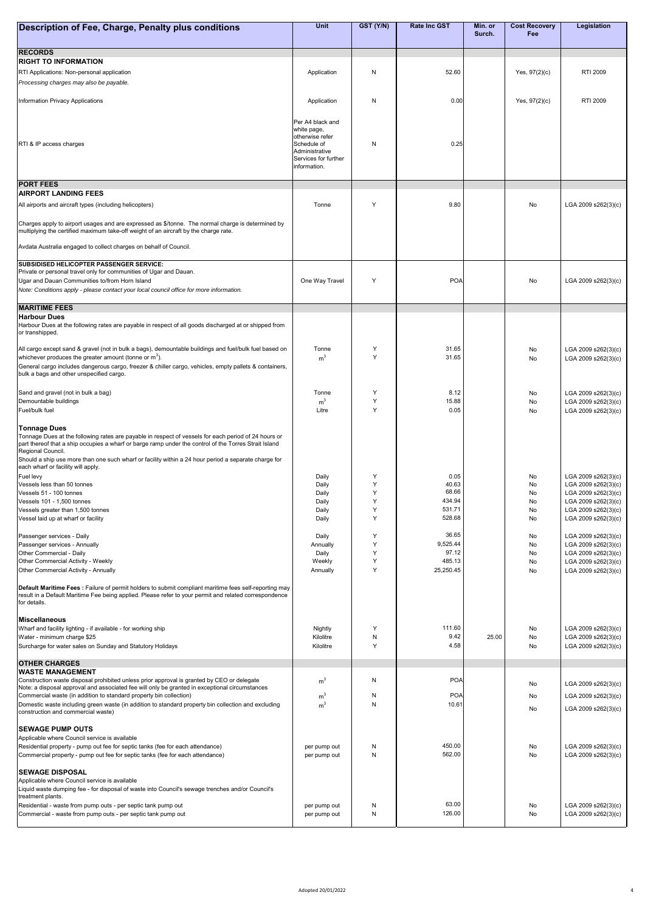| Description of Fee, Charge, Penalty plus conditions                                                                                                                                                           | <b>Unit</b>                          | GST (Y/N) | <b>Rate Inc GST</b> | Min. or<br>Surch. | <b>Cost Recovery</b><br>Fee | <b>Legislation</b>                         |
|---------------------------------------------------------------------------------------------------------------------------------------------------------------------------------------------------------------|--------------------------------------|-----------|---------------------|-------------------|-----------------------------|--------------------------------------------|
|                                                                                                                                                                                                               |                                      |           |                     |                   |                             |                                            |
| <b>RECORDS</b>                                                                                                                                                                                                |                                      |           |                     |                   |                             |                                            |
| <b>RIGHT TO INFORMATION</b>                                                                                                                                                                                   |                                      |           |                     |                   |                             |                                            |
| RTI Applications: Non-personal application<br>Processing charges may also be payable.                                                                                                                         | Application                          | N         | 52.60               |                   | Yes, $97(2)(c)$             | <b>RTI 2009</b>                            |
|                                                                                                                                                                                                               |                                      |           |                     |                   |                             |                                            |
| Information Privacy Applications                                                                                                                                                                              | Application                          | N         | 0.00                |                   | Yes, $97(2)(c)$             | RTI 2009                                   |
|                                                                                                                                                                                                               |                                      |           |                     |                   |                             |                                            |
|                                                                                                                                                                                                               | Per A4 black and<br>white page,      |           |                     |                   |                             |                                            |
|                                                                                                                                                                                                               | otherwise refer                      |           |                     |                   |                             |                                            |
| RTI & IP access charges                                                                                                                                                                                       | Schedule of<br>Administrative        | N         | 0.25                |                   |                             |                                            |
|                                                                                                                                                                                                               | Services for further<br>information. |           |                     |                   |                             |                                            |
|                                                                                                                                                                                                               |                                      |           |                     |                   |                             |                                            |
| <b>PORT FEES</b>                                                                                                                                                                                              |                                      |           |                     |                   |                             |                                            |
| <b>AIRPORT LANDING FEES</b>                                                                                                                                                                                   |                                      |           |                     |                   |                             |                                            |
| All airports and aircraft types (including helicopters)                                                                                                                                                       | Tonne                                | Y         | 9.80                |                   | No                          | LGA 2009 s262(3)(c)                        |
| Charges apply to airport usages and are expressed as \$/tonne. The normal charge is determined by                                                                                                             |                                      |           |                     |                   |                             |                                            |
| multiplying the certified maximum take-off weight of an aircraft by the charge rate.                                                                                                                          |                                      |           |                     |                   |                             |                                            |
| Avdata Australia engaged to collect charges on behalf of Council.                                                                                                                                             |                                      |           |                     |                   |                             |                                            |
| SUBSIDISED HELICOPTER PASSENGER SERVICE:                                                                                                                                                                      |                                      |           |                     |                   |                             |                                            |
| Private or personal travel only for communities of Ugar and Dauan.                                                                                                                                            |                                      |           |                     |                   |                             |                                            |
| Ugar and Dauan Communities to/from Horn Island                                                                                                                                                                | One Way Travel                       | Y         | <b>POA</b>          |                   | No                          | LGA 2009 s262(3)(c)                        |
| Note: Conditions apply - please contact your local council office for more information.                                                                                                                       |                                      |           |                     |                   |                             |                                            |
| <b>MARITIME FEES</b>                                                                                                                                                                                          |                                      |           |                     |                   |                             |                                            |
| <b>Harbour Dues</b>                                                                                                                                                                                           |                                      |           |                     |                   |                             |                                            |
| Harbour Dues at the following rates are payable in respect of all goods discharged at or shipped from<br>or transhipped.                                                                                      |                                      |           |                     |                   |                             |                                            |
| All cargo except sand & gravel (not in bulk a bags), demountable buildings and fuel/bulk fuel based on                                                                                                        | Tonne                                | Y         | 31.65               |                   |                             |                                            |
| whichever produces the greater amount (tonne or $m3$ ).                                                                                                                                                       | m <sup>3</sup>                       | Y         | 31.65               |                   | No<br>No                    | LGA 2009 s262(3)(c)<br>LGA 2009 s262(3)(c) |
| General cargo includes dangerous cargo, freezer & chiller cargo, vehicles, empty pallets & containers,                                                                                                        |                                      |           |                     |                   |                             |                                            |
| bulk a bags and other unspecified cargo.                                                                                                                                                                      |                                      |           |                     |                   |                             |                                            |
| Sand and gravel (not in bulk a bag)                                                                                                                                                                           | Tonne                                | Υ         | 8.12                |                   | No                          | LGA 2009 s262(3)(c)                        |
| Demountable buildings<br>Fuel/bulk fuel                                                                                                                                                                       | m <sup>3</sup><br>Litre              | Y<br>Y    | 15.88<br>0.05       |                   | No                          | LGA 2009 s262(3)(c)                        |
|                                                                                                                                                                                                               |                                      |           |                     |                   | No                          | LGA 2009 s262(3)(c)                        |
| <b>Tonnage Dues</b>                                                                                                                                                                                           |                                      |           |                     |                   |                             |                                            |
| Tonnage Dues at the following rates are payable in respect of vessels for each period of 24 hours or<br>part thereof that a ship occupies a wharf or barge ramp under the control of the Torres Strait Island |                                      |           |                     |                   |                             |                                            |
| Regional Council.                                                                                                                                                                                             |                                      |           |                     |                   |                             |                                            |
| Should a ship use more than one such wharf or facility within a 24 hour period a separate charge for<br>each wharf or facility will apply.                                                                    |                                      |           |                     |                   |                             |                                            |
| Fuel levy                                                                                                                                                                                                     | Daily                                | Υ         | 0.05                |                   | No                          | LGA 2009 s262(3)(c)                        |
| Vessels less than 50 tonnes<br>Vessels 51 - 100 tonnes                                                                                                                                                        | Daily<br>Daily                       | Υ<br>Y    | 40.63<br>68.66      |                   | No<br>No                    | LGA 2009 s262(3)(c)<br>LGA 2009 s262(3)(c) |
| Vessels 101 - 1,500 tonnes                                                                                                                                                                                    | Daily                                | Y         | 434.94              |                   | No                          | LGA 2009 s262(3)(c)                        |
| Vessels greater than 1,500 tonnes<br>Vessel laid up at wharf or facility                                                                                                                                      | Daily<br>Daily                       | Y<br>Y    | 531.71<br>528.68    |                   | No<br>No                    | LGA 2009 s262(3)(c)<br>LGA 2009 s262(3)(c) |
|                                                                                                                                                                                                               |                                      |           |                     |                   |                             |                                            |
| Passenger services - Daily<br>Passenger services - Annually                                                                                                                                                   | Daily<br>Annually                    | Y<br>Y    | 36.65<br>9,525.44   |                   | No<br>No                    | LGA 2009 s262(3)(c)<br>LGA 2009 s262(3)(c) |
| Other Commercial - Daily                                                                                                                                                                                      | Daily                                | Y         | 97.12               |                   | No                          | LGA 2009 s262(3)(c)                        |
| Other Commercial Activity - Weekly                                                                                                                                                                            | Weekly                               | Y         | 485.13              |                   | No                          | LGA 2009 s262(3)(c)                        |
| Other Commercial Activity - Annually                                                                                                                                                                          | Annually                             | Y         | 25,250.45           |                   | <b>No</b>                   | LGA 2009 s262(3)(c)                        |
| Default Maritime Fees : Failure of permit holders to submit compliant maritime fees self-reporting may                                                                                                        |                                      |           |                     |                   |                             |                                            |
| result in a Default Maritime Fee being applied. Please refer to your permit and related correspondence<br>for details.                                                                                        |                                      |           |                     |                   |                             |                                            |
|                                                                                                                                                                                                               |                                      |           |                     |                   |                             |                                            |
| <b>Miscellaneous</b><br>Wharf and facility lighting - if available - for working ship                                                                                                                         | Nightly                              | Υ         | 111.60              |                   | No                          | LGA 2009 s262(3)(c)                        |
| Water - minimum charge \$25                                                                                                                                                                                   | Kilolitre                            | N         | 9.42                | 25.00             | No                          | LGA 2009 s262(3)(c)                        |
| Surcharge for water sales on Sunday and Statutory Holidays                                                                                                                                                    | Kilolitre                            | Y         | 4.58                |                   | No                          | LGA 2009 s262(3)(c)                        |
| <b>OTHER CHARGES</b>                                                                                                                                                                                          |                                      |           |                     |                   |                             |                                            |
| <b>WASTE MANAGEMENT</b><br>Construction waste disposal prohibited unless prior approval is granted by CEO or delegate                                                                                         |                                      | N         | <b>POA</b>          |                   |                             |                                            |
| Note: a disposal approval and associated fee will only be granted in exceptional circumstances                                                                                                                | m <sup>3</sup>                       |           |                     |                   | No                          | LGA 2009 s262(3)(c)                        |
| Commercial waste (in addition to standard property bin collection)                                                                                                                                            | m <sup>3</sup>                       | N         | <b>POA</b>          |                   | No                          | LGA 2009 s262(3)(c)                        |
| Domestic waste including green waste (in addition to standard property bin collection and excluding<br>construction and commercial waste)                                                                     | m <sup>3</sup>                       | N         | 10.61               |                   | No                          | LGA 2009 s262(3)(c)                        |
| <b>SEWAGE PUMP OUTS</b>                                                                                                                                                                                       |                                      |           |                     |                   |                             |                                            |
| Applicable where Council service is available                                                                                                                                                                 |                                      |           |                     |                   |                             |                                            |
| Residential property - pump out fee for septic tanks (fee for each attendance)                                                                                                                                | per pump out                         | N         | 450.00              |                   | No                          | LGA 2009 s262(3)(c)                        |
| Commercial property - pump out fee for septic tanks (fee for each attendance)                                                                                                                                 | per pump out                         | N         | 562.00              |                   | No                          | LGA 2009 s262(3)(c)                        |
| <b>SEWAGE DISPOSAL</b>                                                                                                                                                                                        |                                      |           |                     |                   |                             |                                            |
| Applicable where Council service is available<br>Liquid waste dumping fee - for disposal of waste into Council's sewage trenches and/or Council's                                                             |                                      |           |                     |                   |                             |                                            |
| treatment plants.                                                                                                                                                                                             |                                      |           |                     |                   |                             |                                            |
| Residential - waste from pump outs - per septic tank pump out<br>Commercial - waste from pump outs - per septic tank pump out                                                                                 | per pump out                         | N<br>N    | 63.00<br>126.00     |                   | No<br>No                    | LGA 2009 s262(3)(c)<br>LGA 2009 s262(3)(c) |
|                                                                                                                                                                                                               | per pump out                         |           |                     |                   |                             |                                            |